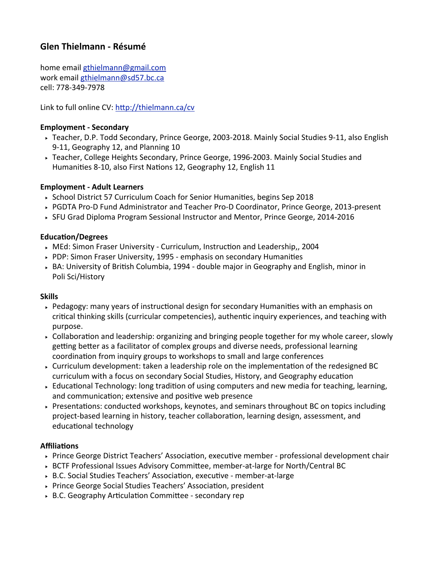# **Glen Thielmann - Résumé**

home email gthielmann@gmail.com work email gthielmann@sd57.bc.ca cell: 778-349-7978

Link to full online  $CV:$  http://thielmann.ca/cv

### **Employment - Secondary**

- ► Teacher, D.P. Todd Secondary, Prince George, 2003-2018. Mainly Social Studies 9-11, also English 9-11, Geography 12, and Planning 10
- ► Teacher, College Heights Secondary, Prince George, 1996-2003. Mainly Social Studies and Humanities 8-10, also First Nations 12, Geography 12, English 11

#### **Employment - Adult Learners**

- $\rightarrow$  School District 57 Curriculum Coach for Senior Humanities, begins Sep 2018
- ▶ PGDTA Pro-D Fund Administrator and Teacher Pro-D Coordinator, Prince George, 2013-present
- ► SFU Grad Diploma Program Sessional Instructor and Mentor, Prince George, 2014-2016

#### Education/Degrees

- $\rightarrow$  MEd: Simon Fraser University Curriculum, Instruction and Leadership,, 2004
- $\triangleright$  PDP: Simon Fraser University, 1995 emphasis on secondary Humanities
- $\triangleright$  BA: University of British Columbia, 1994 double major in Geography and English, minor in Poli Sci/History

#### **Skills**

- ► Pedagogy: many years of instructional design for secondary Humanities with an emphasis on critical thinking skills (curricular competencies), authentic inquiry experiences, and teaching with purpose.
- $\triangleright$  Collaboration and leadership: organizing and bringing people together for my whole career, slowly getting better as a facilitator of complex groups and diverse needs, professional learning coordination from inquiry groups to workshops to small and large conferences
- $\rightarrow$  Curriculum development: taken a leadership role on the implementation of the redesigned BC curriculum with a focus on secondary Social Studies, History, and Geography education
- $\rightarrow$  Educational Technology: long tradition of using computers and new media for teaching, learning, and communication; extensive and positive web presence
- $\rightarrow$  Presentations: conducted workshops, keynotes, and seminars throughout BC on topics including project-based learning in history, teacher collaboration, learning design, assessment, and educational technology

## **Affiliations**

- ► Prince George District Teachers' Association, executive member professional development chair
- ► BCTF Professional Issues Advisory Committee, member-at-large for North/Central BC
- ► B.C. Social Studies Teachers' Association, executive member-at-large
- ▶ Prince George Social Studies Teachers' Association, president
- $\triangleright$  B.C. Geography Articulation Committee secondary rep